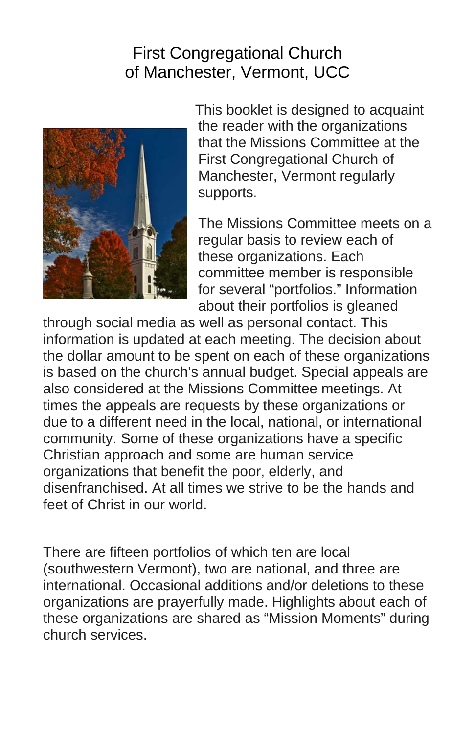# First Congregational Church of Manchester, Vermont, UCC



 This booklet is designed to acquaint the reader with the organizations that the Missions Committee at the First Congregational Church of Manchester, Vermont regularly supports.

The Missions Committee meets on a regular basis to review each of these organizations. Each committee member is responsible for several "portfolios." Information about their portfolios is gleaned

through social media as well as personal contact. This information is updated at each meeting. The decision about the dollar amount to be spent on each of these organizations is based on the church's annual budget. Special appeals are also considered at the Missions Committee meetings. At times the appeals are requests by these organizations or due to a different need in the local, national, or international community. Some of these organizations have a specific Christian approach and some are human service organizations that benefit the poor, elderly, and disenfranchised. At all times we strive to be the hands and feet of Christ in our world.

There are fifteen portfolios of which ten are local (southwestern Vermont), two are national, and three are international. Occasional additions and/or deletions to these organizations are prayerfully made. Highlights about each of these organizations are shared as "Mission Moments" during church services.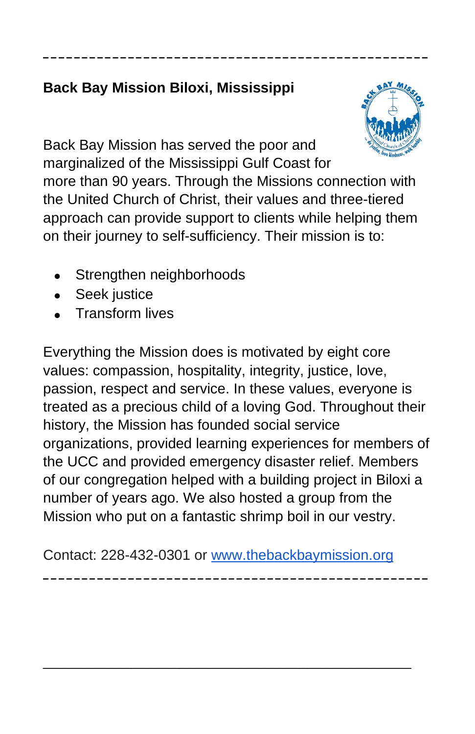# **Back Bay Mission Biloxi, Mississippi**



Back Bay Mission has served the poor and marginalized of the Mississippi Gulf Coast for

more than 90 years. Through the Missions connection with the United Church of Christ, their values and three-tiered approach can provide support to clients while helping them on their journey to self-sufficiency. Their mission is to:

**\_\_\_\_\_\_\_\_\_\_\_\_\_\_\_\_\_\_\_\_\_\_\_\_\_\_\_\_\_\_\_\_\_\_\_\_\_\_\_\_\_\_\_\_\_\_\_\_\_\_**

- Strengthen neighborhoods
- Seek justice
- Transform lives

Everything the Mission does is motivated by eight core values: compassion, hospitality, integrity, justice, love, passion, respect and service. In these values, everyone is treated as a precious child of a loving God. Throughout their history, the Mission has founded social service organizations, provided learning experiences for members of the UCC and provided emergency disaster relief. Members of our congregation helped with a building project in Biloxi a number of years ago. We also hosted a group from the Mission who put on a fantastic shrimp boil in our vestry.

Contact: 228-432-0301 or [www.thebackbaymission.org](http://www.thebackbaymission.org/)

**\_\_\_\_\_\_\_\_\_\_\_\_\_\_\_\_\_\_\_\_\_\_\_\_\_\_\_\_\_\_\_\_\_\_\_\_\_\_\_\_\_\_\_\_\_\_\_\_\_\_**

\_\_\_\_\_\_\_\_\_\_\_\_\_\_\_\_\_\_\_\_\_\_\_\_\_\_\_\_\_\_\_\_\_\_\_\_\_\_\_\_\_\_\_\_\_\_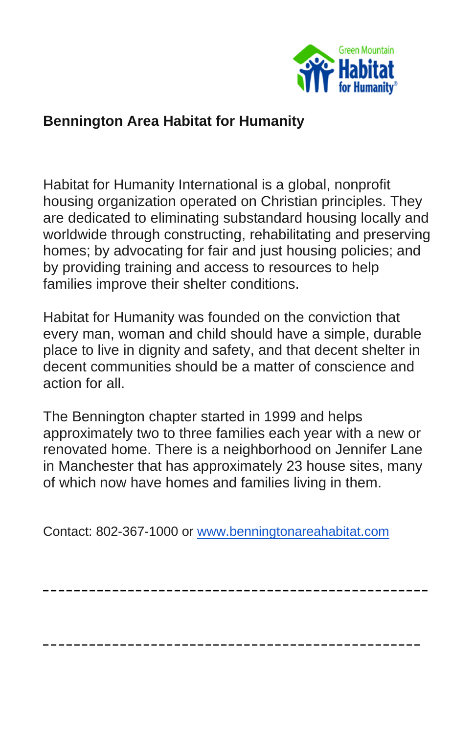

### **Bennington Area Habitat for Humanity**

Habitat for Humanity International is a global, nonprofit housing organization operated on Christian principles. They are dedicated to eliminating substandard housing locally and worldwide through constructing, rehabilitating and preserving homes; by advocating for fair and just housing policies; and by providing training and access to resources to help families improve their shelter conditions.

Habitat for Humanity was founded on the conviction that every man, woman and child should have a simple, durable place to live in dignity and safety, and that decent shelter in decent communities should be a matter of conscience and action for all.

The Bennington chapter started in 1999 and helps approximately two to three families each year with a new or renovated home. There is a neighborhood on Jennifer Lane in Manchester that has approximately 23 house sites, many of which now have homes and families living in them.

**\_\_\_\_\_\_\_\_\_\_\_\_\_\_\_\_\_\_\_\_\_\_\_\_\_\_\_\_\_\_\_\_\_\_\_\_\_\_\_\_\_\_\_\_\_\_\_\_\_\_**

**\_\_\_\_\_\_\_\_\_\_\_\_\_\_\_\_\_\_\_\_\_\_\_\_\_\_\_\_\_\_\_\_\_\_\_\_\_\_\_\_\_\_\_\_\_\_\_\_\_**

Contact: 802-367-1000 or [www.benningtonareahabitat.com](http://www.benningtonareahabitat.com/)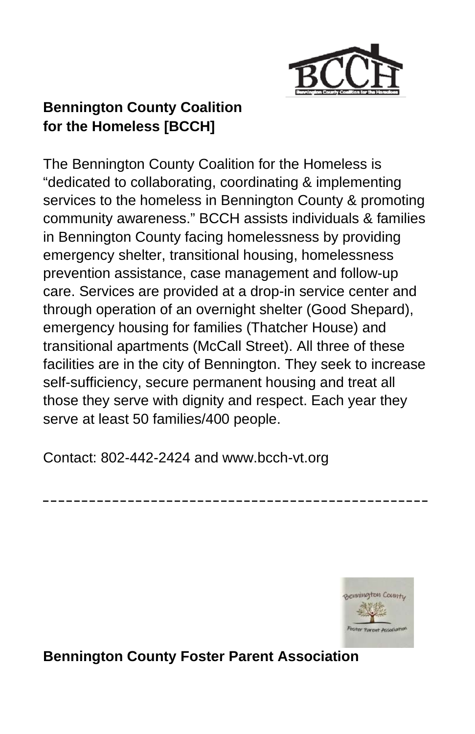

# **Bennington County Coalition for the Homeless [BCCH]**

The Bennington County Coalition for the Homeless is "dedicated to collaborating, coordinating & implementing services to the homeless in Bennington County & promoting community awareness." BCCH assists individuals & families in Bennington County facing homelessness by providing emergency shelter, transitional housing, homelessness prevention assistance, case management and follow-up care. Services are provided at a drop-in service center and through operation of an overnight shelter (Good Shepard), emergency housing for families (Thatcher House) and transitional apartments (McCall Street). All three of these facilities are in the city of Bennington. They seek to increase self-sufficiency, secure permanent housing and treat all those they serve with dignity and respect. Each year they serve at least 50 families/400 people.

**\_\_\_\_\_\_\_\_\_\_\_\_\_\_\_\_\_\_\_\_\_\_\_\_\_\_\_\_\_\_\_\_\_\_\_\_\_\_\_\_\_\_\_\_\_\_\_\_\_\_**

Contact: 802-442-2424 and [www.bcch-vt.org](http://www.bcch-vt.org/)



# **Bennington County Foster Parent Association**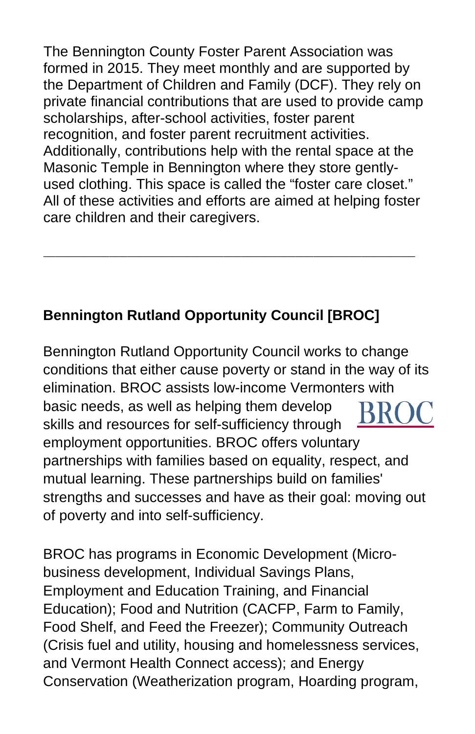The Bennington County Foster Parent Association was formed in 2015. They meet monthly and are supported by the Department of Children and Family (DCF). They rely on private financial contributions that are used to provide camp scholarships, after-school activities, foster parent recognition, and foster parent recruitment activities. Additionally, contributions help with the rental space at the Masonic Temple in Bennington where they store gentlyused clothing. This space is called the "foster care closet." All of these activities and efforts are aimed at helping foster care children and their caregivers.

\_\_\_\_\_\_\_\_\_\_\_\_\_\_\_\_\_\_\_\_\_\_\_\_\_\_\_\_\_\_\_\_\_\_\_\_\_\_\_\_\_\_\_\_\_\_\_\_\_\_\_\_\_\_\_\_\_\_\_\_\_\_

# **Bennington Rutland Opportunity Council [BROC]**

Bennington Rutland Opportunity Council works to change conditions that either cause poverty or stand in the way of its elimination. BROC assists low-income Vermonters with basic needs, as well as helping them develop skills and resources for self-sufficiency through employment opportunities. BROC offers voluntary partnerships with families based on equality, respect, and mutual learning. These partnerships build on families' strengths and successes and have as their goal: moving out of poverty and into self-sufficiency.

BROC has programs in Economic Development (Microbusiness development, Individual Savings Plans, Employment and Education Training, and Financial Education); Food and Nutrition (CACFP, Farm to Family, Food Shelf, and Feed the Freezer); Community Outreach (Crisis fuel and utility, housing and homelessness services, and Vermont Health Connect access); and Energy Conservation (Weatherization program, Hoarding program,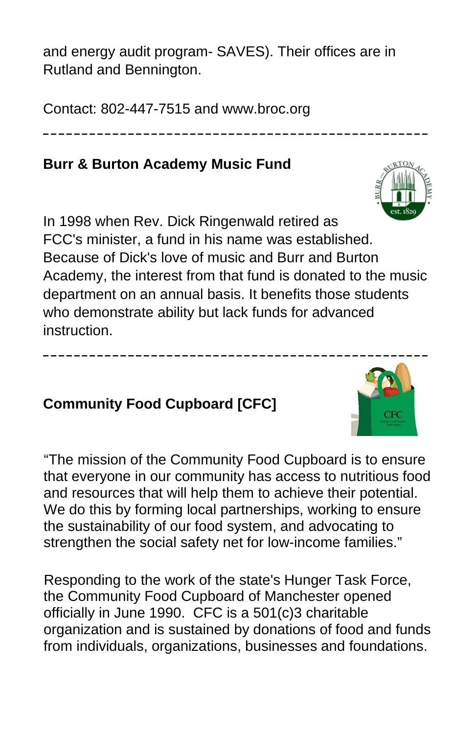and energy audit program- SAVES). Their offices are in Rutland and Bennington.

**\_\_\_\_\_\_\_\_\_\_\_\_\_\_\_\_\_\_\_\_\_\_\_\_\_\_\_\_\_\_\_\_\_\_\_\_\_\_\_\_\_\_\_\_\_\_\_\_\_\_**

Contact: 802-447-7515 and www.broc.org

### **Burr & Burton Academy Music Fund**

In 1998 when Rev. Dick Ringenwald retired as FCC's minister, a fund in his name was established. Because of Dick's love of music and Burr and Burton Academy, the interest from that fund is donated to the music department on an annual basis. It benefits those students who demonstrate ability but lack funds for advanced instruction.

**\_\_\_\_\_\_\_\_\_\_\_\_\_\_\_\_\_\_\_\_\_\_\_\_\_\_\_\_\_\_\_\_\_\_\_\_\_\_\_\_\_\_\_\_\_\_\_\_\_\_**

#### **Community Food Cupboard [CFC]**

"The mission of the Community Food Cupboard is to ensure that everyone in our community has access to nutritious food and resources that will help them to achieve their potential. We do this by forming local partnerships, working to ensure the sustainability of our food system, and advocating to strengthen the social safety net for low-income families."

Responding to the work of the state's Hunger Task Force, the Community Food Cupboard of Manchester opened officially in June 1990. CFC is a 501(c)3 charitable organization and is sustained by donations of food and funds from individuals, organizations, businesses and foundations.



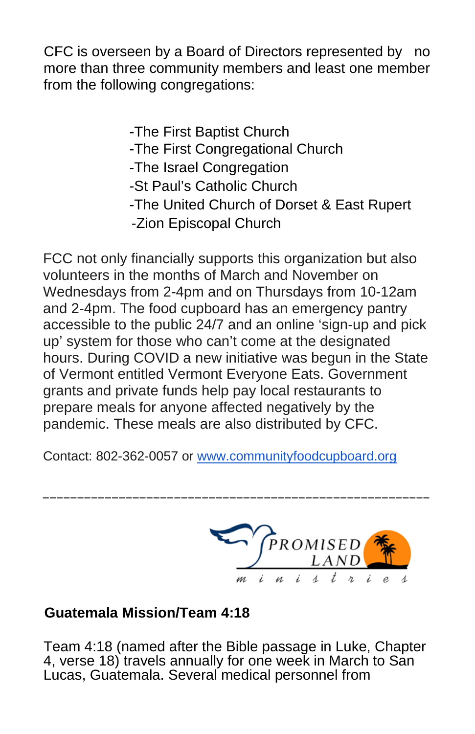CFC is overseen by a Board of Directors represented by no more than three community members and least one member from the following congregations:

> -The First Baptist Church -The First Congregational Church -The Israel Congregation -St Paul's Catholic Church -The United Church of Dorset & East Rupert -Zion Episcopal Church

FCC not only financially supports this organization but also volunteers in the months of March and November on Wednesdays from 2-4pm and on Thursdays from 10-12am and 2-4pm. The food cupboard has an emergency pantry accessible to the public 24/7 and an online 'sign-up and pick up' system for those who can't come at the designated hours. During COVID a new initiative was begun in the State of Vermont entitled Vermont Everyone Eats. Government grants and private funds help pay local restaurants to prepare meals for anyone affected negatively by the pandemic. These meals are also distributed by CFC.

Contact: 802-362-0057 or [www.communityfoodcupboard.org](http://www.communityfoodcupboard.org/)

\_\_\_\_\_\_\_\_\_\_\_\_\_\_\_\_\_\_\_\_\_\_\_\_\_\_\_\_\_\_\_\_\_\_\_\_\_\_\_\_\_\_\_\_\_\_\_\_\_\_\_\_\_\_\_\_



### **Guatemala Mission/Team 4:18**

Team 4:18 (named after the Bible passage in Luke, Chapter 4, verse 18) travels annually for one week in March to San Lucas, Guatemala. Several medical personnel from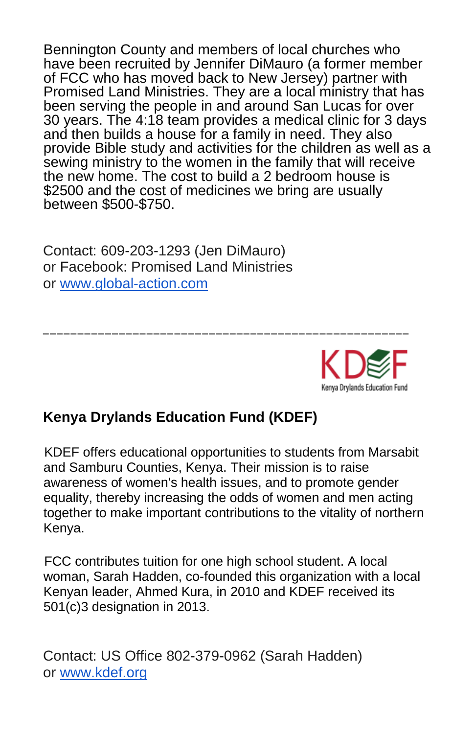Bennington County and members of local churches who have been recruited by Jennifer DiMauro (a former member of FCC who has moved back to New Jersey) partner with Promised Land Ministries. They are a local ministry that has been serving the people in and around San Lucas for over 30 years. The 4:18 team provides a medical clinic for 3 days and then builds a house for a family in need. They also provide Bible study and activities for the children as well as a sewing ministry to the women in the family that will receive the new home. The cost to build a 2 bedroom house is \$2500 and the cost of medicines we bring are usually between \$500-\$750.

Contact: 609-203-1293 (Jen DiMauro) or Facebook: Promised Land Ministries or [www.global-action.com](http://www.global-action.com/)



### **Kenya Drylands Education Fund (KDEF)**

KDEF offers educational opportunities to students from Marsabit and Samburu Counties, Kenya. Their mission is to raise awareness of women's health issues, and to promote gender equality, thereby increasing the odds of women and men acting together to make important contributions to the vitality of northern Kenya.

\_\_\_\_\_\_\_\_\_\_\_\_\_\_\_\_\_\_\_\_\_\_\_\_\_\_\_\_\_\_\_\_\_\_\_\_\_\_\_\_\_\_\_\_\_\_\_\_\_\_\_\_\_

FCC contributes tuition for one high school student. A local woman, Sarah Hadden, co-founded this organization with a local Kenyan leader, Ahmed Kura, in 2010 and KDEF received its 501(c)3 designation in 2013.

Contact: US Office 802-379-0962 (Sarah Hadden) or [www.kdef.org](http://www.kdef.org/)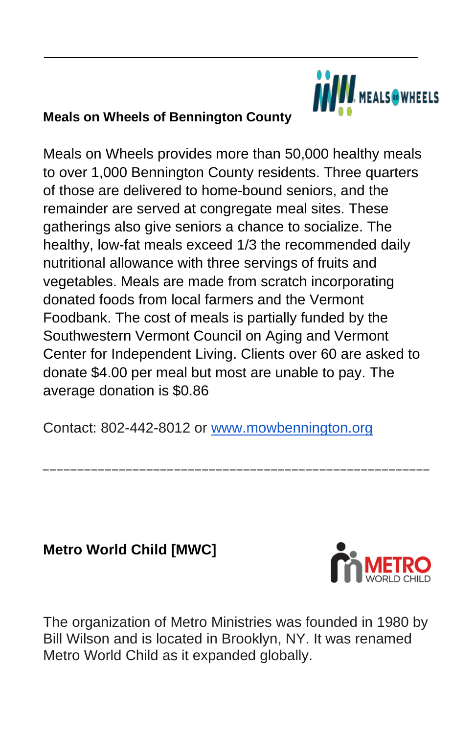

#### **Meals on Wheels of Bennington County**

Meals on Wheels provides more than 50,000 healthy meals to over 1,000 Bennington County residents. Three quarters of those are delivered to home-bound seniors, and the remainder are served at congregate meal sites. These gatherings also give seniors a chance to socialize. The healthy, low-fat meals exceed 1/3 the recommended daily nutritional allowance with three servings of fruits and vegetables. Meals are made from scratch incorporating donated foods from local farmers and the Vermont Foodbank. The cost of meals is partially funded by the Southwestern Vermont Council on Aging and Vermont Center for Independent Living. Clients over 60 are asked to donate \$4.00 per meal but most are unable to pay. The average donation is \$0.86

\_\_\_\_\_\_\_\_\_\_\_\_\_\_\_\_\_\_\_\_\_\_\_\_\_\_\_\_\_\_\_\_\_\_\_\_\_\_\_\_\_\_\_\_\_\_\_\_\_\_\_

Contact: 802-442-8012 or [www.mowbennington.org](http://www.mowbennington.org/)

## **Metro World Child [MWC]**



The organization of Metro Ministries was founded in 1980 by Bill Wilson and is located in Brooklyn, NY. It was renamed Metro World Child as it expanded globally.

\_\_\_\_\_\_\_\_\_\_\_\_\_\_\_\_\_\_\_\_\_\_\_\_\_\_\_\_\_\_\_\_\_\_\_\_\_\_\_\_\_\_\_\_\_\_\_\_\_\_\_\_\_\_\_\_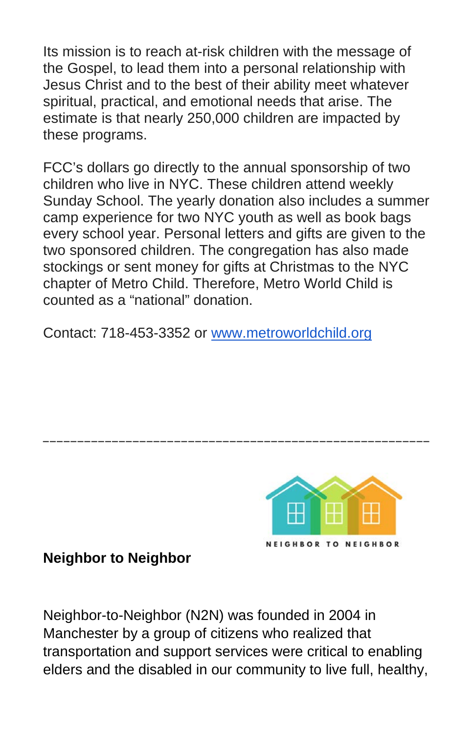Its mission is to reach at-risk children with the message of the Gospel, to lead them into a personal relationship with Jesus Christ and to the best of their ability meet whatever spiritual, practical, and emotional needs that arise. The estimate is that nearly 250,000 children are impacted by these programs.

FCC's dollars go directly to the annual sponsorship of two children who live in NYC. These children attend weekly Sunday School. The yearly donation also includes a summer camp experience for two NYC youth as well as book bags every school year. Personal letters and gifts are given to the two sponsored children. The congregation has also made stockings or sent money for gifts at Christmas to the NYC chapter of Metro Child. Therefore, Metro World Child is counted as a "national" donation.

\_\_\_\_\_\_\_\_\_\_\_\_\_\_\_\_\_\_\_\_\_\_\_\_\_\_\_\_\_\_\_\_\_\_\_\_\_\_\_\_\_\_\_\_\_\_\_\_\_\_\_\_\_\_\_\_

Contact: 718-453-3352 or [www.metroworldchild.org](http://www.metroworldchild.org/)



**Neighbor to Neighbor**

Neighbor-to-Neighbor (N2N) was founded in 2004 in Manchester by a group of citizens who realized that transportation and support services were critical to enabling elders and the disabled in our community to live full, healthy,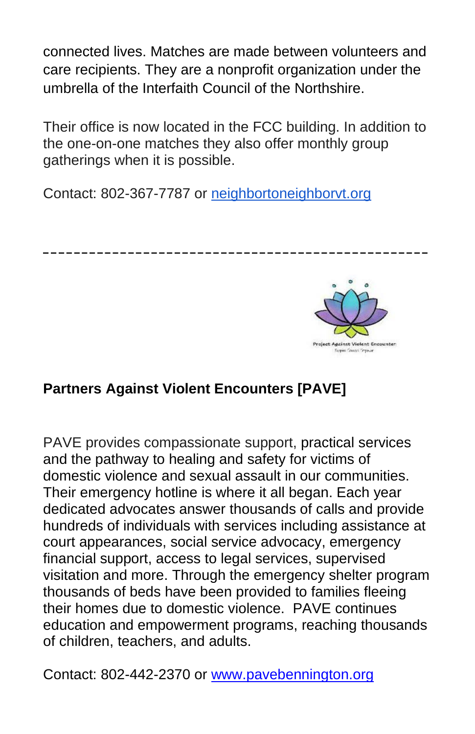connected lives. Matches are made between volunteers and care recipients. They are a nonprofit organization under the umbrella of the Interfaith Council of the Northshire.

Their office is now located in the FCC building. In addition to the one-on-one matches they also offer monthly group gatherings when it is possible.

**\_\_\_\_\_\_\_\_\_\_\_\_\_\_\_\_\_\_\_\_\_\_\_\_\_\_\_\_\_\_\_\_\_\_\_\_\_\_\_\_\_\_\_\_\_\_\_\_\_\_**

Contact: 802-367-7787 or [neighbortoneighborvt.org](http://neighbortoneighborvt.org/)



## **Partners Against Violent Encounters [PAVE]**

PAVE provides compassionate support, practical services and the pathway to healing and safety for victims of domestic violence and sexual assault in our communities. Their emergency hotline is where it all began. Each year dedicated advocates answer thousands of calls and provide hundreds of individuals with services including assistance at court appearances, social service advocacy, emergency financial support, access to legal services, supervised visitation and more. Through the emergency shelter program thousands of beds have been provided to families fleeing their homes due to domestic violence. PAVE continues education and empowerment programs, reaching thousands of children, teachers, and adults.

Contact: 802-442-2370 or [www.pavebennington.org](http://www.pavebennington.org/)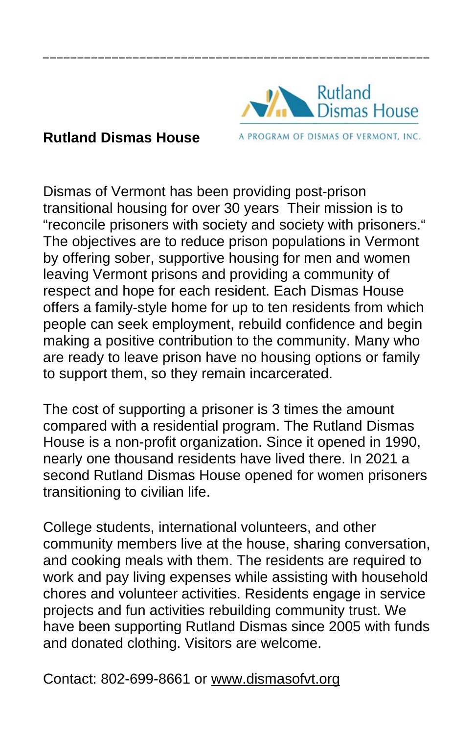#### **Rutland Dismas House**

**Rutland** Dismas House A PROGRAM OF DISMAS OF VERMONT, INC.

Dismas of Vermont has been providing post-prison transitional housing for over 30 years Their mission is to "reconcile prisoners with society and society with prisoners." The objectives are to reduce prison populations in Vermont by offering sober, supportive housing for men and women leaving Vermont prisons and providing a community of respect and hope for each resident. Each Dismas House offers a family-style home for up to ten residents from which people can seek employment, rebuild confidence and begin making a positive contribution to the community. Many who are ready to leave prison have no housing options or family to support them, so they remain incarcerated.

\_\_\_\_\_\_\_\_\_\_\_\_\_\_\_\_\_\_\_\_\_\_\_\_\_\_\_\_\_\_\_\_\_\_\_\_\_\_\_\_\_\_\_\_\_\_\_\_\_\_\_\_\_\_\_\_

The cost of supporting a prisoner is 3 times the amount compared with a residential program. The Rutland Dismas House is a non-profit organization. Since it opened in 1990, nearly one thousand residents have lived there. In 2021 a second Rutland Dismas House opened for women prisoners transitioning to civilian life.

College students, international volunteers, and other community members live at the house, sharing conversation, and cooking meals with them. The residents are required to work and pay living expenses while assisting with household chores and volunteer activities. Residents engage in service projects and fun activities rebuilding community trust. We have been supporting Rutland Dismas since 2005 with funds and donated clothing. Visitors are welcome.

Contact: 802-699-8661 or [www.dismasofvt.org](http://www.dismasofvt.org/)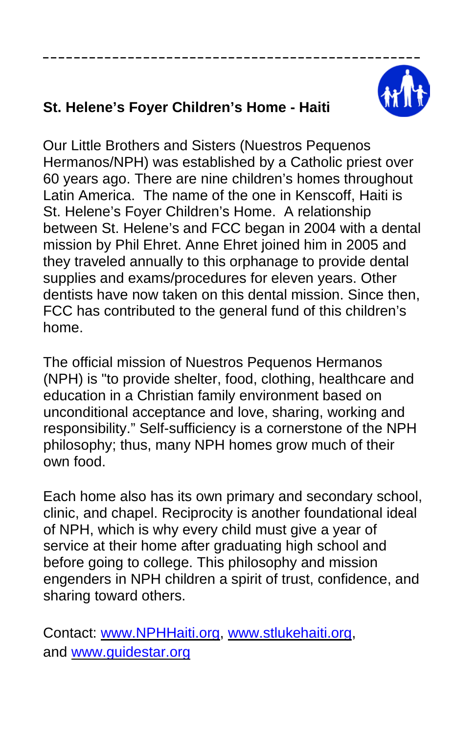

# **St. Helene's Foyer Children's Home - Haiti**

Our Little Brothers and Sisters (Nuestros Pequenos Hermanos/NPH) was established by a Catholic priest over 60 years ago. There are nine children's homes throughout Latin America. The name of the one in Kenscoff, Haiti is St. Helene's Foyer Children's Home. A relationship between St. Helene's and FCC began in 2004 with a dental mission by Phil Ehret. Anne Ehret joined him in 2005 and they traveled annually to this orphanage to provide dental supplies and exams/procedures for eleven years. Other dentists have now taken on this dental mission. Since then, FCC has contributed to the general fund of this children's home.

**\_\_\_\_\_\_\_\_\_\_\_\_\_\_\_\_\_\_\_\_\_\_\_\_\_\_\_\_\_\_\_\_\_\_\_\_\_\_\_\_\_\_\_\_\_\_\_\_\_**

The official mission of Nuestros Pequenos Hermanos (NPH) is "to provide shelter, food, clothing, healthcare and education in a Christian family environment based on unconditional acceptance and love, sharing, working and responsibility." Self-sufficiency is a cornerstone of the NPH philosophy; thus, many NPH homes grow much of their own food.

Each home also has its own primary and secondary school, clinic, and chapel. Reciprocity is another foundational ideal of NPH, which is why every child must give a year of service at their home after graduating high school and before going to college. This philosophy and mission engenders in NPH children a spirit of trust, confidence, and sharing toward others.

Contact: www.NPHHaiti.org, www.stlukehaiti.org, and www.guidestar.org